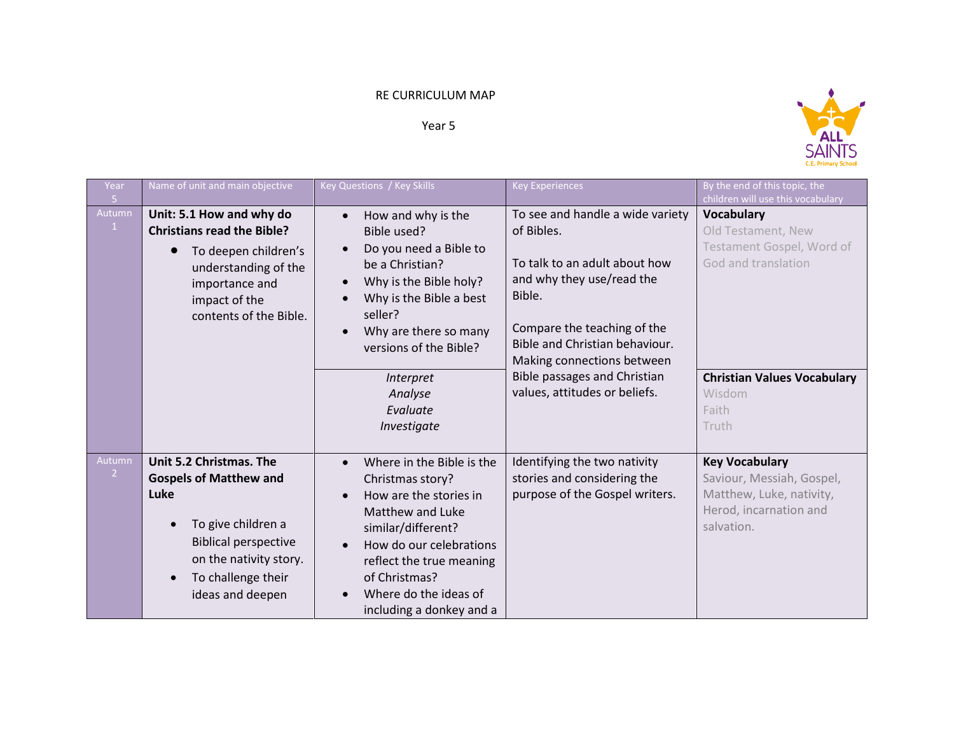## RE CURRICULUM MAP

Year 5



| Year<br>5                | Name of unit and main objective                                                                                                                                                           | Key Questions / Key Skills                                                                                                                                                                                                                                        | <b>Key Experiences</b>                                                                                                                                                                                                                                                                 | By the end of this topic, the<br>children will use this vocabulary                                                                                            |
|--------------------------|-------------------------------------------------------------------------------------------------------------------------------------------------------------------------------------------|-------------------------------------------------------------------------------------------------------------------------------------------------------------------------------------------------------------------------------------------------------------------|----------------------------------------------------------------------------------------------------------------------------------------------------------------------------------------------------------------------------------------------------------------------------------------|---------------------------------------------------------------------------------------------------------------------------------------------------------------|
| Autumn<br>$\mathbf{1}$   | Unit: 5.1 How and why do<br><b>Christians read the Bible?</b><br>To deepen children's<br>understanding of the<br>importance and<br>impact of the<br>contents of the Bible.                | How and why is the<br>$\bullet$<br>Bible used?<br>Do you need a Bible to<br>be a Christian?<br>Why is the Bible holy?<br>Why is the Bible a best<br>seller?<br>Why are there so many<br>versions of the Bible?<br>Interpret<br>Analyse<br>Evaluate<br>Investigate | To see and handle a wide variety<br>of Bibles.<br>To talk to an adult about how<br>and why they use/read the<br>Bible.<br>Compare the teaching of the<br>Bible and Christian behaviour.<br>Making connections between<br>Bible passages and Christian<br>values, attitudes or beliefs. | <b>Vocabulary</b><br>Old Testament, New<br>Testament Gospel, Word of<br>God and translation<br><b>Christian Values Vocabulary</b><br>Wisdom<br>Faith<br>Truth |
| Autumn<br>$\overline{2}$ | Unit 5.2 Christmas. The<br><b>Gospels of Matthew and</b><br>Luke<br>To give children a<br><b>Biblical perspective</b><br>on the nativity story.<br>To challenge their<br>ideas and deepen | Where in the Bible is the<br>$\bullet$<br>Christmas story?<br>How are the stories in<br>Matthew and Luke<br>similar/different?<br>How do our celebrations<br>reflect the true meaning<br>of Christmas?<br>Where do the ideas of<br>including a donkey and a       | Identifying the two nativity<br>stories and considering the<br>purpose of the Gospel writers.                                                                                                                                                                                          | <b>Key Vocabulary</b><br>Saviour, Messiah, Gospel,<br>Matthew, Luke, nativity,<br>Herod, incarnation and<br>salvation.                                        |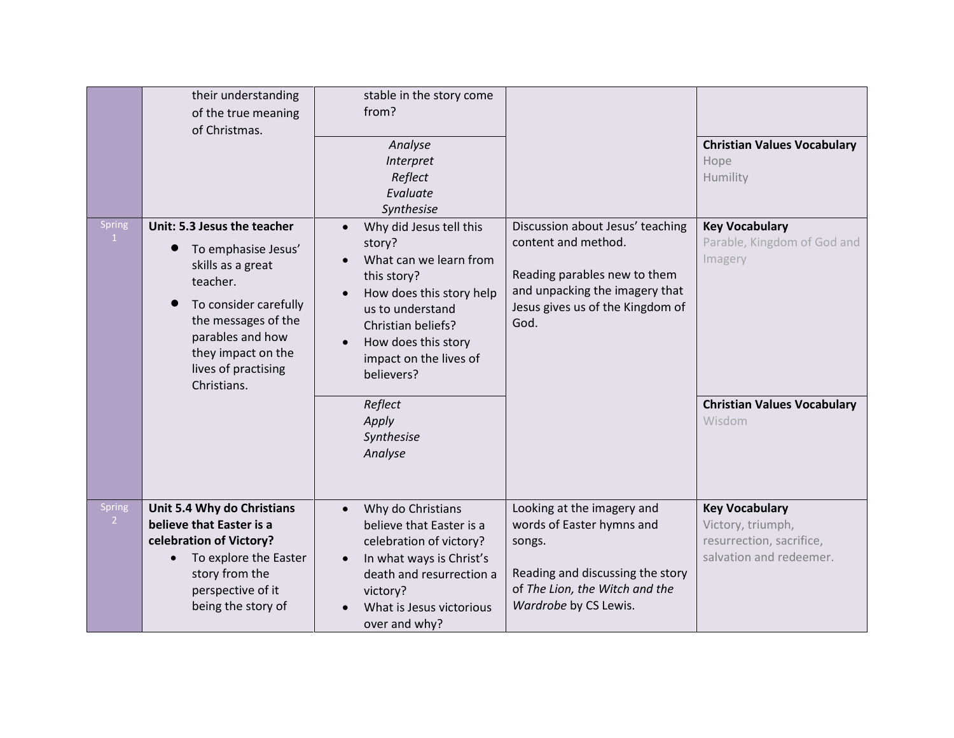|                               | their understanding<br>of the true meaning<br>of Christmas.                                                                                                                                                         | stable in the story come<br>from?<br>Analyse<br>Interpret<br>Reflect<br>Evaluate<br>Synthesise                                                                                                                                                                            |                                                                                                                                                                       | <b>Christian Values Vocabulary</b><br>Hope<br>Humility                                                          |
|-------------------------------|---------------------------------------------------------------------------------------------------------------------------------------------------------------------------------------------------------------------|---------------------------------------------------------------------------------------------------------------------------------------------------------------------------------------------------------------------------------------------------------------------------|-----------------------------------------------------------------------------------------------------------------------------------------------------------------------|-----------------------------------------------------------------------------------------------------------------|
| <b>Spring</b><br>$\mathbf{1}$ | Unit: 5.3 Jesus the teacher<br>To emphasise Jesus'<br>skills as a great<br>teacher.<br>To consider carefully<br>the messages of the<br>parables and how<br>they impact on the<br>lives of practising<br>Christians. | Why did Jesus tell this<br>$\bullet$<br>story?<br>What can we learn from<br>this story?<br>How does this story help<br>us to understand<br>Christian beliefs?<br>How does this story<br>impact on the lives of<br>believers?<br>Reflect<br>Apply<br>Synthesise<br>Analyse | Discussion about Jesus' teaching<br>content and method.<br>Reading parables new to them<br>and unpacking the imagery that<br>Jesus gives us of the Kingdom of<br>God. | <b>Key Vocabulary</b><br>Parable, Kingdom of God and<br>Imagery<br><b>Christian Values Vocabulary</b><br>Wisdom |
| <b>Spring</b><br>$\mathbf{2}$ | Unit 5.4 Why do Christians<br>believe that Easter is a<br>celebration of Victory?<br>To explore the Easter<br>$\bullet$<br>story from the<br>perspective of it<br>being the story of                                | Why do Christians<br>$\bullet$<br>believe that Easter is a<br>celebration of victory?<br>In what ways is Christ's<br>$\bullet$<br>death and resurrection a<br>victory?<br>What is Jesus victorious<br>over and why?                                                       | Looking at the imagery and<br>words of Easter hymns and<br>songs.<br>Reading and discussing the story<br>of The Lion, the Witch and the<br>Wardrobe by CS Lewis.      | <b>Key Vocabulary</b><br>Victory, triumph,<br>resurrection, sacrifice,<br>salvation and redeemer.               |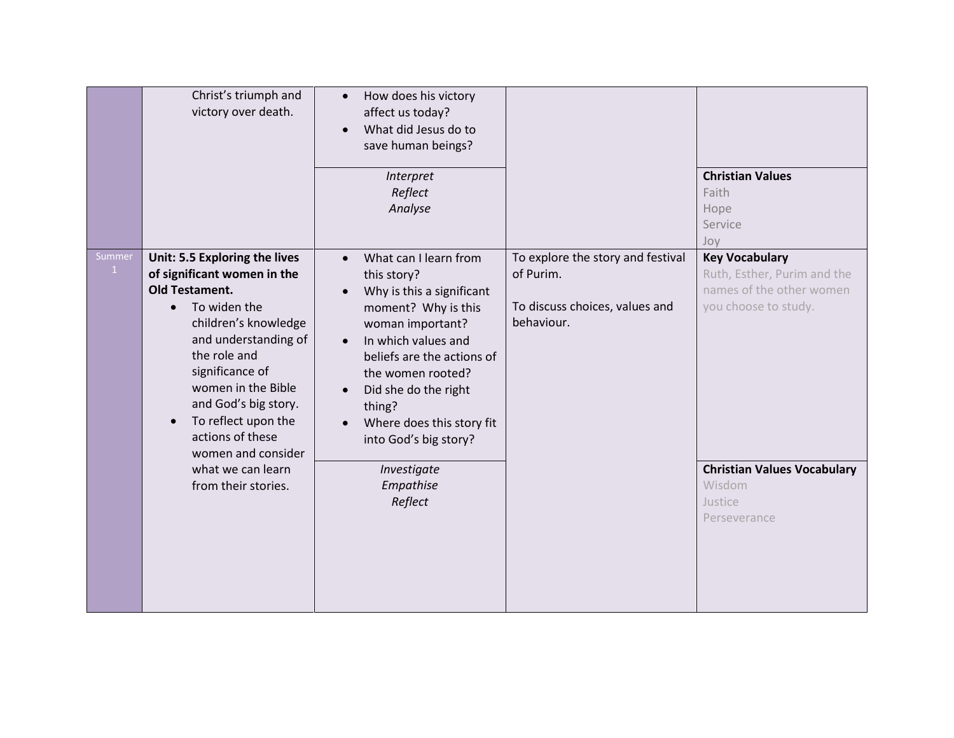|                        | Christ's triumph and<br>victory over death.                                                                                                                                                                                                                                                                          | How does his victory<br>$\bullet$<br>affect us today?<br>What did Jesus do to<br>$\bullet$<br>save human beings?                                                                                                                                                                                                                                |                                                                                                |                                                                                                          |
|------------------------|----------------------------------------------------------------------------------------------------------------------------------------------------------------------------------------------------------------------------------------------------------------------------------------------------------------------|-------------------------------------------------------------------------------------------------------------------------------------------------------------------------------------------------------------------------------------------------------------------------------------------------------------------------------------------------|------------------------------------------------------------------------------------------------|----------------------------------------------------------------------------------------------------------|
|                        |                                                                                                                                                                                                                                                                                                                      | Interpret<br>Reflect<br>Analyse                                                                                                                                                                                                                                                                                                                 |                                                                                                | <b>Christian Values</b><br>Faith<br>Hope<br>Service<br>Joy                                               |
| Summer<br>$\mathbf{1}$ | Unit: 5.5 Exploring the lives<br>of significant women in the<br><b>Old Testament.</b><br>To widen the<br>$\bullet$<br>children's knowledge<br>and understanding of<br>the role and<br>significance of<br>women in the Bible<br>and God's big story.<br>To reflect upon the<br>actions of these<br>women and consider | What can I learn from<br>$\bullet$<br>this story?<br>Why is this a significant<br>$\bullet$<br>moment? Why is this<br>woman important?<br>In which values and<br>$\bullet$<br>beliefs are the actions of<br>the women rooted?<br>Did she do the right<br>$\bullet$<br>thing?<br>Where does this story fit<br>$\bullet$<br>into God's big story? | To explore the story and festival<br>of Purim.<br>To discuss choices, values and<br>behaviour. | <b>Key Vocabulary</b><br>Ruth, Esther, Purim and the<br>names of the other women<br>you choose to study. |
|                        | what we can learn<br>from their stories.                                                                                                                                                                                                                                                                             | Investigate<br>Empathise<br>Reflect                                                                                                                                                                                                                                                                                                             |                                                                                                | <b>Christian Values Vocabulary</b><br>Wisdom<br>Justice<br>Perseverance                                  |